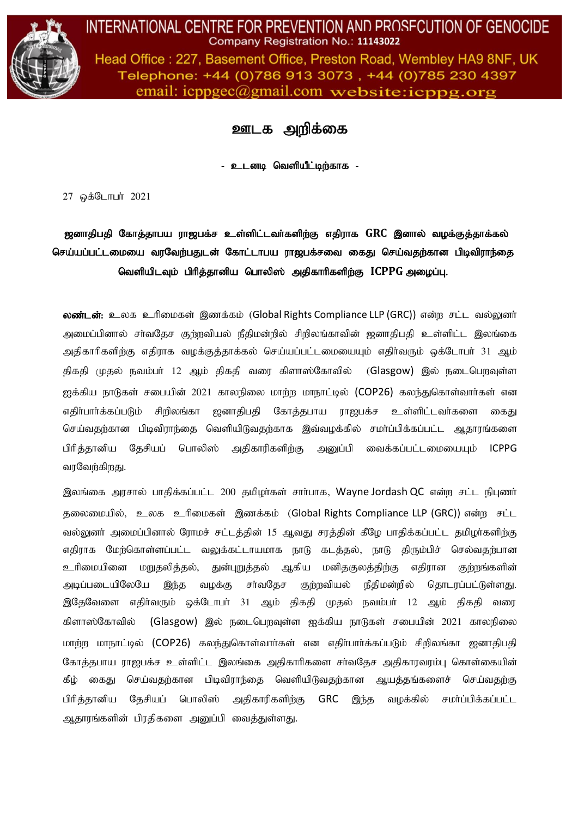

Head Office: 227, Basement Office, Preston Road, Wembley HA9 8NF, UK Telephone: +44 (0)786 913 3073, +44 (0)785 230 4397 email:  $icpp\alpha$  email.com website:  $icpp\alpha$ .org

ஊடக அறிக்கை

உடனடி வெளியீட்டிற்காக -

27 ஒக்டோபர் 2021

ஜனாதிபதி கோத்தாபய ராஜபக்ச உள்ளிட்டவா்களிற்கு எதிராக GRC இனால் வழக்குத்தாக்கல் செய்யப்பட்டமையை வரவேற்பதுடன் கோட்டாபய ராஜபக்சவை கைது செய்வதற்கான பிடிவிராந்தை வெளியிடவும் பிரித்தானிய பொலிஸ் அதிகாரிகளிற்கு ICPPG அழைப்பு.

லண்டன்: உலக உரிமைகள் இணக்கம் (Global Rights Compliance LLP (GRC)) என்ற சட்ட வல்லுனர் அமைப்பினால் சா்வதேச குற்றவியல் நீதிமன்றில் சிறிலங்காவின் ஜனாதிபதி உள்ளிட்ட இலங்கை அதிகாரிகளிற்கு எதிராக வழக்குத்தாக்கல் செய்யப்பட்டமையையும் எதிர்வரும் ஒக்டோபர் 31 ஆம் திகதி முதல் நவம்பர் 12 ஆம் திகதி வரை கிளாஸ்கோவில் (Glasgow) இல் நடைபெறவுள்ள ஐக்கிய நாடுகள் சபையின் 2021 காலநிலை மாற்ற மாநாட்டில் (COP26) கலந்துகொள்வார்கள் என எதிா்பாா்க்கப்படும் சிறிலங்கா ஜனாதிபதி கோத்தபாய ராஜபக்ச உள்ளிட்டவா்களை கைது செய்வதற்கான பிடிவிராந்தை வெளியிடுவதற்காக இவ்வழக்கில் சமா்ப்பிக்கப்பட்ட ஆதாரங்களை பிரித்தானிய தேசியப் பொலிஸ் அதிகாரிகளிற்கு அனுப்பி வைக்கப்பட்டமையையும் ICPPG வரவேற்கிறது.

இலங்கை அரசால் பாதிக்கப்பட்ட 200 தமிழர்கள் சார்பாக, Wayne Jordash QC என்ற சட்ட நிபுணர் தலைமையில், உலக உரிமைகள் இணக்கம் (Global Rights Compliance LLP (GRC)) என்ற சட்ட வல்லுனர் அமைப்பினால் ரோமச் சட்டத்தின் 15 ஆவது சரத்தின் கீழே பாதிக்கப்பட்ட தமிழர்களிற்கு எதிராக மேற்கொள்ளப்பட்ட வலுக்கட்டாயமாக நாடு கடக்கல், நாடு கிரும்பிச் செல்வகற்பான உரிமையினை மறுதலித்தல், துன்புறுத்தல் ஆகிய மனிதகுலத்திற்கு எதிரான குற்றங்களின் அடிப்படையிலேயே இந்த வழக்கு சர்வதேச குற்றவியல் நீதிமன்றில் தொடரப்பட்டுள்ளது. இதேவேளை எதிர்வரும் ஒக்டோபர் 31 ஆம் திகதி முதல் நவம்பர் 12 ஆம் திகதி வரை கிளாஸ்கோவில் (Glasgow) இல் நடைபெறவுள்ள ஐக்கிய நாடுகள் சபையின் 2021 காலநிலை மாற்ற மாநாட்டில் (COP26) கலந்துகொள்வார்கள் என எதிர்பார்க்கப்படும் சிறிலங்கா ஜனாதிபதி கோத்தபாய ராஜபக்ச உள்ளிட்ட இலங்கை அதிகாரிகளை சா்வதேச அதிகாரவரம்பு கொள்கையின் கீழ் கைது செய்வதற்கான பிடிவிராந்தை வெளியிடுவதற்கான ஆயத்தங்களைச் செய்வதற்கு பிரித்தானிய தேசியப் பொலிஸ் அதிகாரிகளிற்கு GRC இந்த வழக்கில் சமா்ப்பிக்கப்பட்ட ஆதாரங்களின் பிரதிகளை அனுப்பி வைத்துள்ளது.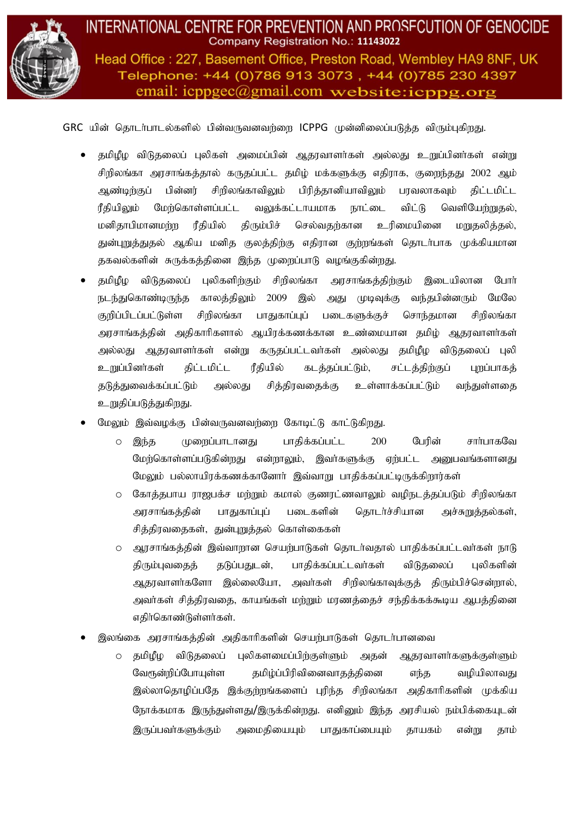

Head Office: 227, Basement Office, Preston Road, Wembley HA9 8NF, UK Telephone: +44 (0)786 913 3073, +44 (0)785 230 4397 email:  $icpp\alpha$  email.com website:  $icpp\alpha$ .org

 $GRC$  யின் தொடர்பாடல்களில் பின்வருவனவர்றை ICPPG முன்னிலைப்படுக்க விரும்புகிறது.

- சுமிழீழ விடுதலைப் புலிகள் அமைப்பின் ஆகரவாளர்கள் அல்லது உறுப்பினர்கள் என்று சிறிலங்கா அரசாங்கத்தால் கருதப்பட்ட தமிழ் மக்களுக்கு எதிராக, குறைந்தது 2002 ஆம் ஆண்டிற்குப் பின்னர் சிறிலங்காவிலும் பிரித்தானியாவிலும் பரவலாகவும் திட்டமிட்ட ரீதியிலும் மேற்கொள்ளப்பட்ட வலுக்கட்டாயமாக நாட்டை விட்டு வெளியேற்றுதல், மனிதாபிமானமற்ற ரீதியில் திரும்பிச் செல்வதற்கான உரிமையினை மறுதலித்தல், துன்புறுத்துதல் ஆகிய மனித குலத்திற்கு எதிரான குற்றங்கள் தொடர்பாக முக்கியமான தகவல்களின் சுருக்கத்தினை இந்த முறைப்பாடு வழங்குகின்றது.
- தமிழீழ விடுதலைப் புலிகளிற்கும் சிறிலங்கா அரசாங்கத்திற்கும் இடையிலான போர் நடந்துகொண்டிருந்த காலத்திலும் 2009 இல் அது முடிவுக்கு வந்தபின்னரும் மேலே குறிப்பிடப்பட்டுள்ள சிறிலங்கா பாதுகாப்புப் படைகளுக்குச் சொந்தமான சிறிலங்கா அரசாங்கத்தின் அதிகாரிகளால் ஆயிரக்கணக்கான உண்மையான தமிழ் ஆதரவாளர்கள் அல்லது ஆதரவாளர்கள் என்று கருதப்பட்டவர்கள் அல்லது தமிழீழ விடுதலைப் புலி <u>உறுப்பி</u>னர்கள் திட்டமிட்ட ரீதியில் கடத்தப்பட்டும், சட்டத்திற்குப் புறப்பாகத் தடுத்துவைக்கப்பட்டும் அல்லது சித்திரவதைக்கு உள்ளாக்கப்பட்டும் வந்துள்ளதை உறுதிப்படுத்துகிறது.
- மேலும் இவ்வமக்கு பின்வருவனவர்ளை கோடிட்டு காட்டுகிறது.
	- o இந்த முறைப்பாடானது பாதிக்கப்பட்ட 200 பேரின் சார்பாகவே மேற்கொள்ளப்படுகின்றது என்றாலும், இவர்களுக்கு ஏற்பட்ட அனுபவங்களானது மேலும் பல்லாயிரக்கணக்கானோர் இவ்வாறு பாதிக்கப்பட்டிருக்கிறார்கள்
	- o கோத்தபாய ராஜபக்ச மற்றும் கமால் குணரட்ணவாலும் வழிநடத்தப்படும் சிறிலங்கா அரசாங்கத்தின் பாதுகாப்புப் படைகளின் தொடர்ச்சியான அச்சுறுத்தல்கள், சித்திரவதைகள், துன்புறுத்தல் கொள்கைகள்
	- o அரசாங்கத்தின் இவ்வாறான செயற்பாடுகள் தொடர்வதால் பாதிக்கப்பட்டவர்கள் நாடு திரும்புவதைத் தடுப்பதுடன், பாதிக்கப்பட்டவர்கள் விடுதலைப் புலிகளின் அதரவாளர்களோ இல்லையோ, அவர்கள் சிறிலங்காவுக்குத் திரும்பிச்சென்றால், அவர்கள் சித்திரவதை, காயங்கள் மற்றும் மரணத்தைச் சந்திக்கக்கூடிய ஆபத்தினை எதிர்கொண்டுள்ளர்கள்.
- இலங்கை அரசாங்கத்தின் அதிகாரிகளின் செயற்பாடுகள் தொடர்பானவை
	- o தமிமீம விடுதலைப் புலிகளமைப்பிர்குள்ளும் அதன் ஆதரவாளர்களுக்குள்ளும் வேரூன்றிப்போயுள்ள தமிழ்ப்பிரிவினைவாதத்தினை எந்த வழியிலாவது இல்லாதொழிப்பதே இக்குற்றங்களைப் புரிந்த சிறிலங்கா அதிகாரிகளின் முக்கிய நோக்கமாக இருந்துள்ளது/இருக்கின்றது. எனினும் இந்த அரசியல் நம்பிக்கையுடன் இருப்பவர்களுக்கும் அமைகியையும் பாகுகாப்பையும் காயகம் என்று காம்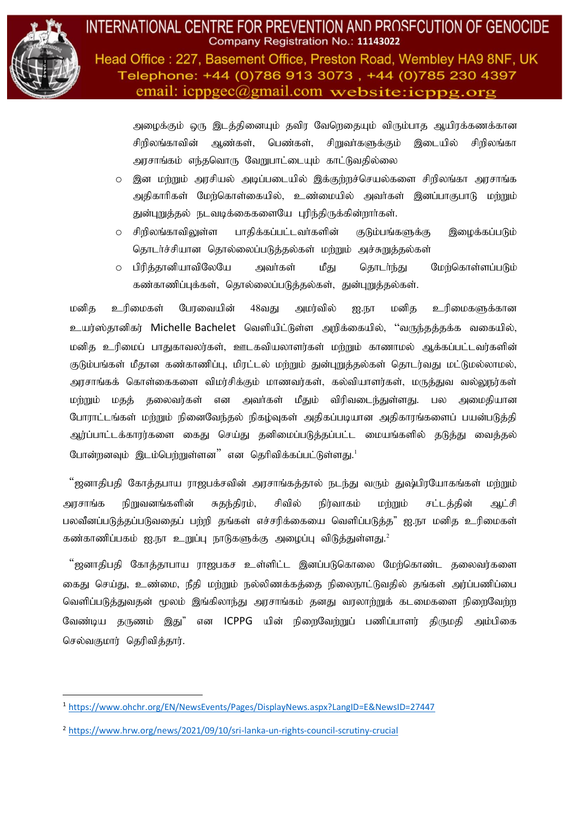

Head Office: 227, Basement Office, Preston Road, Wembley HA9 8NF, UK Telephone: +44 (0)786 913 3073, +44 (0)785 230 4397 email:  $icpp\alpha$  email.com website:  $icpp\alpha$ .org

அழைக்கும் ஒரு இடத்தினையும் தவிர வேறெதையும் விரும்பாத ஆயிரக்கணக்கான சிறிலங்காவின் ஆண்கள், பெண்கள், சிறுவர்களுக்கும் இடையில் சிறிலங்கா அரசாங்கம் எந்தவொரு வேறுபாட்டையும் காட்டுவதில்லை

- o இன மற்றும் அரசியல் அடிப்படையில் இக்குற்றச்செயல்களை சிறிலங்கா அரசாங்க அதிகாரிகள் மேற்கொள்கையில், உண்மையில் அவர்கள் இனப்பாகுபாடு மற்றும் துன்புறுத்தல் நடவடிக்கைகளையே புரிந்திருக்கின்றாா்கள்.
- o சிறிலங்காவிலுள்ள பாதிக்கப்பட்டவா்களின் குடும்பங்களுக்கு இமைக்கப்படும் தொடர்ச்சியான தொல்லைப்படுத்தல்கள் மற்றும் அச்சுறுத்தல்கள்
- o பிரித்தானியாவிலேயே அவர்கள் மீது தொடர்ந்து மேற்கொள்ளப்படும் கண்காணிப்புக்கள், தொல்லைப்படுத்தல்கள், துன்புறுத்தல்கள்.

மனித உரிமைகள் பேரவையின் 48வது அமர்வில் ஐ.நா மனித உரிமைகளுக்கான உயர்ஸ்தானிகர் Michelle Bachelet வெளியிட்டுள்ள அறிக்கையில், "வருந்தத்தக்க வகையில், மனிக உரிமைப் பாகுகாவலர்கள், ஊடகவியலாளர்கள் மற்றும் காணாமல் ஆக்கப்பட்டவர்களின் குடும்பங்கள் மீதான கண்காணிப்பு, மிரட்டல் மற்றும் துன்புறுத்தல்கள் தொடர்வது மட்டுமல்லாமல், அரசாங்கக் கொள்கைகளை விமர்சிக்கும் மாணவர்கள், கல்வியாளர்கள், மருத்துவ வல்லுநர்கள் மர்மும் மகக் கலைவர்கள் என அவர்கள் மீகும் விரிவடைந்குள்ளது. பல அமைகியான போராட்டங்கள் மற்றும் நினைவேந்தல் நிகழ்வுகள் அதிகப்படியான அதிகாரங்களைப் பயன்படுத்தி அர்ப்பாட்டக்காரர்களை கைது செய்து தனிமைப்படுத்தப்பட்ட மையங்களில் தடுத்து வைத்தல் போன்றனவும் இடம்பெற்றுள்ளன $"$  என தெரிவிக்கப்பட்டுள்ளது. $^1$ 

"ஜனாதிபதி கோத்தபாய ராஜபக்சவின் அரசாங்கத்தால் நடந்து வரும் துஷ்பிரயோகங்கள் மற்றும் அரசாங்க நிறுவனங்களின் சுதந்திரம், சிவில் நிர்வாகம் மற்றும் சட்டத்தின் ஆட்சி பலவீனப்படுத்தப்படுவதைப் பற்றி தங்கள் எச்சரிக்கையை வெளிப்படுத்த" ஐ.நா மனித உரிமைகள் கண்காணிப்பகம் ஐ.நா உறுப்பு நாடுகளுக்கு அழைப்பு விடுத்துள்ளது. $^2$ 

"ஜனாதிபதி கோத்தாபாய ராஜபகச உள்ளிட்ட இனப்படுகொலை மேற்கொண்ட தலைவர்களை கைது செய்து, உண்மை, நீதி மற்றும் நல்லிணக்கத்தை நிலைநாட்டுவதில் தங்கள் அர்ப்பணிப்பை வெளிப்படுத்துவதன் மூலம் இங்கிலாந்து அரசாங்கம் தனது வரலாற்றுக் கடமைகளை நிறைவேற்ற வேண்டிய தருணம் இது" என ICPPG யின் நிறைவேற்றுப் பணிப்பாளர் திருமதி அம்பிகை செல்வகுமார் தெரிவித்தார்.

<sup>1</sup> <https://www.ohchr.org/EN/NewsEvents/Pages/DisplayNews.aspx?LangID=E&NewsID=27447>

<sup>2</sup> <https://www.hrw.org/news/2021/09/10/sri-lanka-un-rights-council-scrutiny-crucial>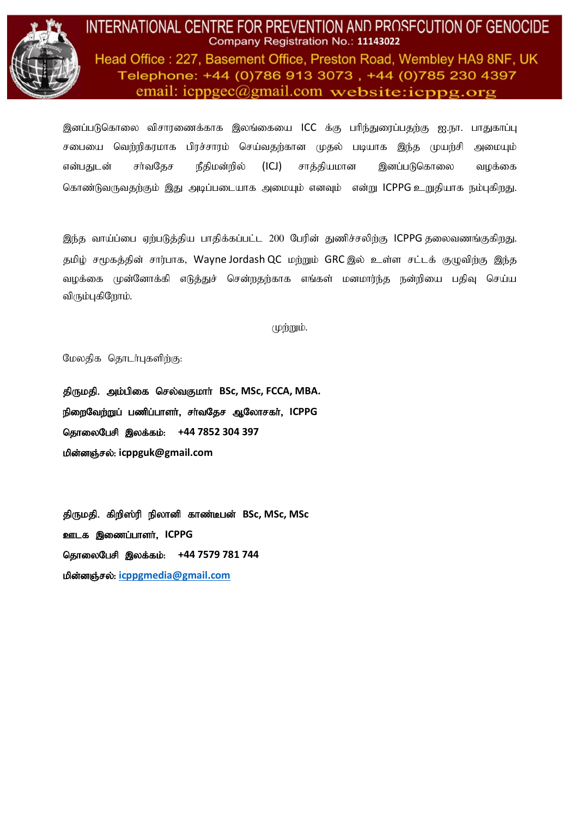

Head Office: 227, Basement Office, Preston Road, Wembley HA9 8NF, UK Telephone: +44 (0)786 913 3073, +44 (0)785 230 4397 email:  $icpp\alpha$  email.com website:  $icpp\alpha$ .org

இனப்படுகொலை விசாரணைக்காக இலங்கையை ICC க்கு பரிந்துரைப்பதற்கு ஐ.நா. பாதுகாப்பு சபையை வெற்றிகரமாக பிரச்சாரம் செய்வதற்கான முதல் படியாக இந்த முயற்சி அமையும் என்பதுடன் சர்வதேச நீதிமன்றில் (ICJ) சாக்தியமான இனப்படுகொலை வமக்கை கொண்டுவருவதற்கும் இது அடிப்படையாக அமையும் எனவும் என்று ICPPG உறுதியாக நம்புகிறது.

இந்த வாய்ப்பை ஏற்படுத்திய பாதிக்கப்பட்ட 200 பேரின் துணிச்சலிற்கு ICPPG தலைவணங்குகிறது. தமிழ் சமூகத்தின் சார்பாக, Wayne Jordash QC மற்றும் GRC இல் உள்ள சட்டக் குழுவிற்கு இந்த வழக்கை முன்னோக்கி எடுத்துச் சென்றதற்காக எங்கள் மனமார்ந்த நன்றியை பதிவு செய்ய விரும்புகிறோம்.

 $(\psi\mathring{m})$ 

மேலதிக தொடர்புகளிற்கு:

திருமதி. அம்பிகை செல்வகுமார் BSc, MSc, FCCA, MBA. நிறைவேற்றுப் பணிப்பாளர், சர்வதேச ஆலோசகர், ICPPG தொலைபேசி இலக்கம்: +44 7852 304 397  $\mu$ ின்னஞ்சல்: [icppguk@gmail.com](about:blank)

திருமதி. கிறிஸ்ரி நிலானி காண்டீபன் BSc, MSc, MSc **ஊடக இணைப்பாளர், ICPPG** தொலைபேசி இலக்கம்: +44 7579 781 744 **மின்னஞ்சல்: [icppgmedia@gmail.com](mailto:icppgmedia@gmail.com)**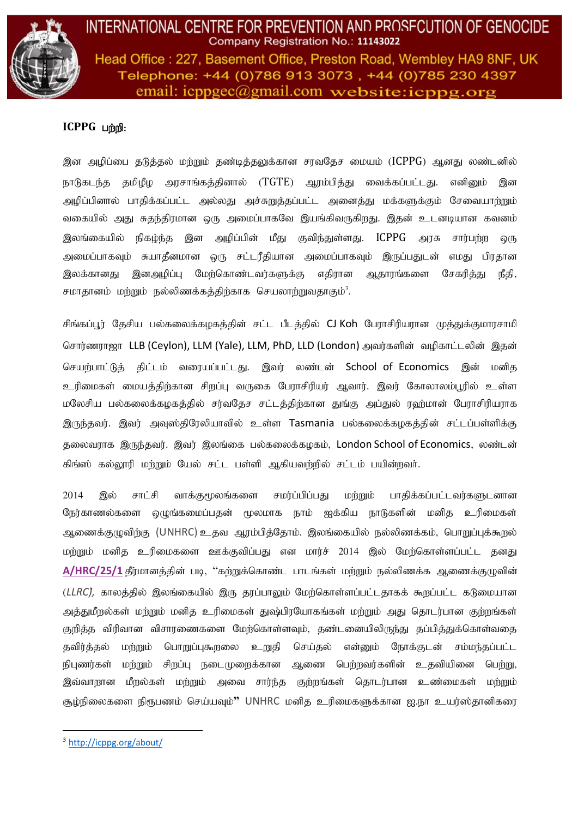

Head Office: 227, Basement Office, Preston Road, Wembley HA9 8NF, UK Telephone: +44 (0)786 913 3073, +44 (0)785 230 4397 email:  $icpp\text{g}ec(\theta)$ gmail.com website: $icppg.org$ 

## **ICPPG** பற்றி:

இன அழிப்பை தடுத்தல் மற்றும் தண்டித்தலுக்கான சரவதேச மையம் (ICPPG) ஆனது லண்டனில் நாடுகடந்த தமிழீழ அரசாங்கத்தினால் (TGTE) ஆரம்பித்து வைக்கப்பட்டது. எனி<u>ன</u>ும் இன அழிப்பினால் பாதிக்கப்பட்ட அல்லது அச்சுறுத்தப்பட்ட அனைத்து மக்களுக்கும் சேவையாற்றும் வகையில் அது சுதந்திரமான ஒரு அமைப்பாகவே இயங்கிவருகிறது. இதன் உடனடியான கவனம் இலங்கையில் நிகழ்ந்த இன அழிப்பின் மீது குவிந்துள்ளது. ICPPG அரசு சார்பற்ற ஒரு அமைப்பாகவும் சுயாதீனமான ஒரு சட்டரீதியான அமைப்பாகவும் இருப்பதுடன் எமது பிரதான இலக்கானது, இனஅழிப்ப மேற்கொண்டவர்களுக்கு எதிரான அகாாங்களை சேகரிக்கு நீதி, சமாதானம் மற்றும் நல்லிணக்கத்திற்காக செயலாற்றுவதாகும் $^3$ .

சிங்கப்பூர் தேசிய பல்கலைக்கழகத்தின் சட்ட பீடத்தில் CJ Koh பேராசிரியரான முத்துக்குமாரசாமி சொர்ணராஜா LLB (Ceylon), LLM (Yale), LLM, PhD, LLD (London) அவர்களின் வழிகாட்டலின் இதன் செயற்பாட்டுத் திட்டம் வரையப்பட்டது. இவர் லண்டன் School of Economics இன் மனித உரிமைகள் மையத்திற்கான சிறப்பு வருகை பேராசிரியர் ஆவார். இவர் கோலாலம்பூரில் உள்ள மலேசிய பல்கலைக்கழகத்தில் சர்வதேச சட்டத்திற்கான துங்கு அப்துல் ரஹ்மான் பேராசிரியராக இருந்தவர். இவர் அவுஸ்திரேலியாவில் உள்ள Tasmania பல்கலைக்கழகத்தின் சட்டப்பள்ளிக்கு தலைவூரக இருந்தவர். இவர் இலங்கை பல்கலைக்கமகம், London School of Economics, லண்டன் கிங்ஸ் கல்லூரி மற்றும் யேல் சட்ட பள்ளி ஆகியவற்றில் சட்டம் பயின்றவர்.

2014 இல் சாட்சி வாக்குமூலங்களை சமா்ப்பிப்பகு மற்றும் பாகிக்கப்பட்டவா்களுடனான நேர்காணல்களை ஒழுங்கமைப்பதன் மூலமாக நாம் ஐக்கிய நாடுகளின் மனித உரிமைகள் ஆணைக்குழுவிற்கு (UNHRC) உதவ ஆரம்பித்தோம். இலங்கையில் நல்லிணக்கம், பொறுப்புக்கூறல் மற்றும் மனித உரிமைகளை ஊக்குவிப்பது என மார்ச் 2014 இல் மேற்கொள்ளப்பட்ட தனது [A/HRC/25/1](http://ap.ohchr.org/documents/dpage_e.aspx?si=A/HRC/RES/25/1) தீர்மானத்தின் படி, ''கற்றுக்கொண்ட பாடங்கள் மற்றும் நல்லிணக்க ஆணைக்குழுவின் (*LLRC),* காலத்தில் இலங்கையில் இரு தரப்பாலும் மேற்கொள்ளப்பட்டதாகக் கூறப்பட்ட கடுமையான அக்குமீருல்கள் மற்றும் மனிக உரிமைகள் குஷ்பிரயோகங்கள் மற்றும் அது தொடர்பான குற்றங்கள். குறித்த விரிவான விசாரணைகளை மேற்கொள்ளவும், தண்டனையிலிருந்து தப்பித்துக்கொள்வதை கவிர்க்கல் மற்றும் பொறுப்பகூறலை உறுகி செய்கல் என்னும் நோக்குடன் சம்மந்கப்பட்ட நிபுணர்கள் மற்றும் சிறப்பு நடைமுறைக்கான ஆணை பெற்றவர்களின் உதவியினை பெற்று, இவ்வாறான மீறல்கள் மற்றும் அவை சார்ந்த குற்றங்கள் தொடர்பான உண்மைகள் மற்றும் கும்நிலைகளை நிரூபணம் செய்யவம்<sup></sup>" UNHRC மனிக உரிமைகளுக்கான <u>ஐ.நா உயர்ஸ்கா</u>னிகரை

<sup>3</sup> <http://icppg.org/about/>